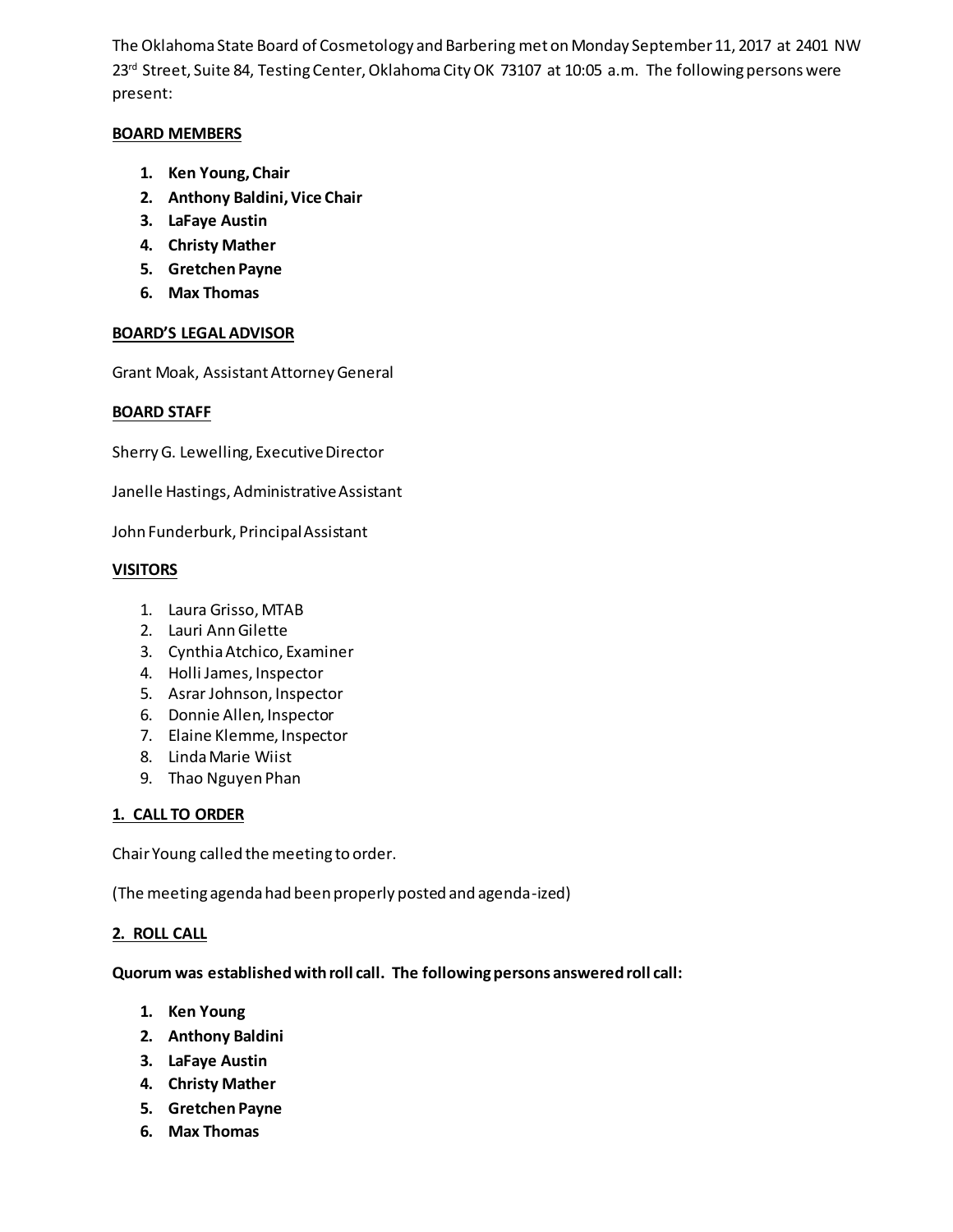The Oklahoma State Board of Cosmetology and Barbering met on Monday September 11, 2017 at 2401 NW 23rd Street, Suite 84, Testing Center, Oklahoma City OK 73107 at 10:05 a.m. The following persons were present:

### **BOARD MEMBERS**

- **1. Ken Young, Chair**
- **2. Anthony Baldini, Vice Chair**
- **3. LaFaye Austin**
- **4. Christy Mather**
- **5. Gretchen Payne**
- **6. Max Thomas**

### **BOARD'S LEGAL ADVISOR**

Grant Moak, Assistant Attorney General

### **BOARD STAFF**

Sherry G. Lewelling, Executive Director

Janelle Hastings, Administrative Assistant

John Funderburk, Principal Assistant

### **VISITORS**

- 1. Laura Grisso, MTAB
- 2. Lauri Ann Gilette
- 3. Cynthia Atchico, Examiner
- 4. Holli James, Inspector
- 5. Asrar Johnson, Inspector
- 6. Donnie Allen, Inspector
- 7. Elaine Klemme, Inspector
- 8. Linda Marie Wiist
- 9. Thao Nguyen Phan

#### **1. CALL TO ORDER**

Chair Young called the meeting to order.

(The meeting agenda had been properly posted and agenda-ized)

### **2. ROLL CALL**

#### **Quorum was established with roll call. The following persons answered roll call:**

- **1. Ken Young**
- **2. Anthony Baldini**
- **3. LaFaye Austin**
- **4. Christy Mather**
- **5. Gretchen Payne**
- **6. Max Thomas**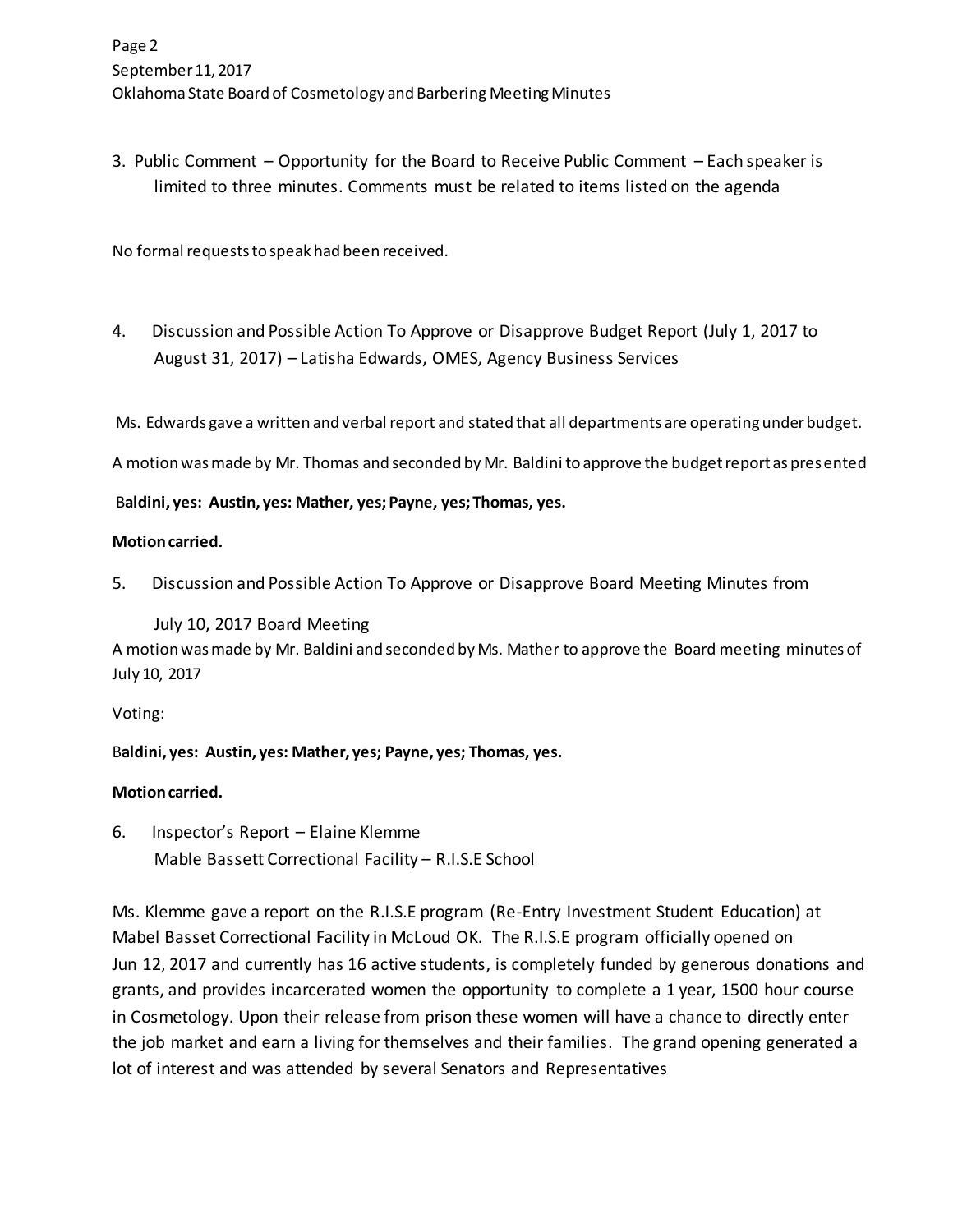3. Public Comment – Opportunity for the Board to Receive Public Comment – Each speaker is limited to three minutes. Comments must be related to items listed on the agenda

No formal requests to speak had been received.

4. Discussion and Possible Action To Approve or Disapprove Budget Report (July 1, 2017 to August 31, 2017) – Latisha Edwards, OMES, Agency Business Services

Ms. Edwards gave a written and verbal report and stated that all departments are operating under budget.

A motion was made by Mr. Thomas and seconded by Mr. Baldini to approve the budget report as presented

B**aldini, yes: Austin, yes: Mather, yes; Payne, yes; Thomas, yes.** 

### **Motion carried.**

5. Discussion and Possible Action To Approve or Disapprove Board Meeting Minutes from

 July 10, 2017 Board Meeting A motion was made by Mr. Baldini and seconded by Ms. Mather to approve the Board meeting minutes of July 10, 2017

Voting:

B**aldini, yes: Austin, yes: Mather, yes; Payne, yes; Thomas, yes.** 

### **Motion carried.**

6. Inspector's Report – Elaine Klemme Mable Bassett Correctional Facility – R.I.S.E School

Ms. Klemme gave a report on the R.I.S.E program (Re-Entry Investment Student Education) at Mabel Basset Correctional Facility in McLoud OK. The R.I.S.E program officially opened on Jun 12, 2017 and currently has 16 active students, is completely funded by generous donations and grants, and provides incarcerated women the opportunity to complete a 1 year, 1500 hour course in Cosmetology. Upon their release from prison these women will have a chance to directly enter the job market and earn a living for themselves and their families. The grand opening generated a lot of interest and was attended by several Senators and Representatives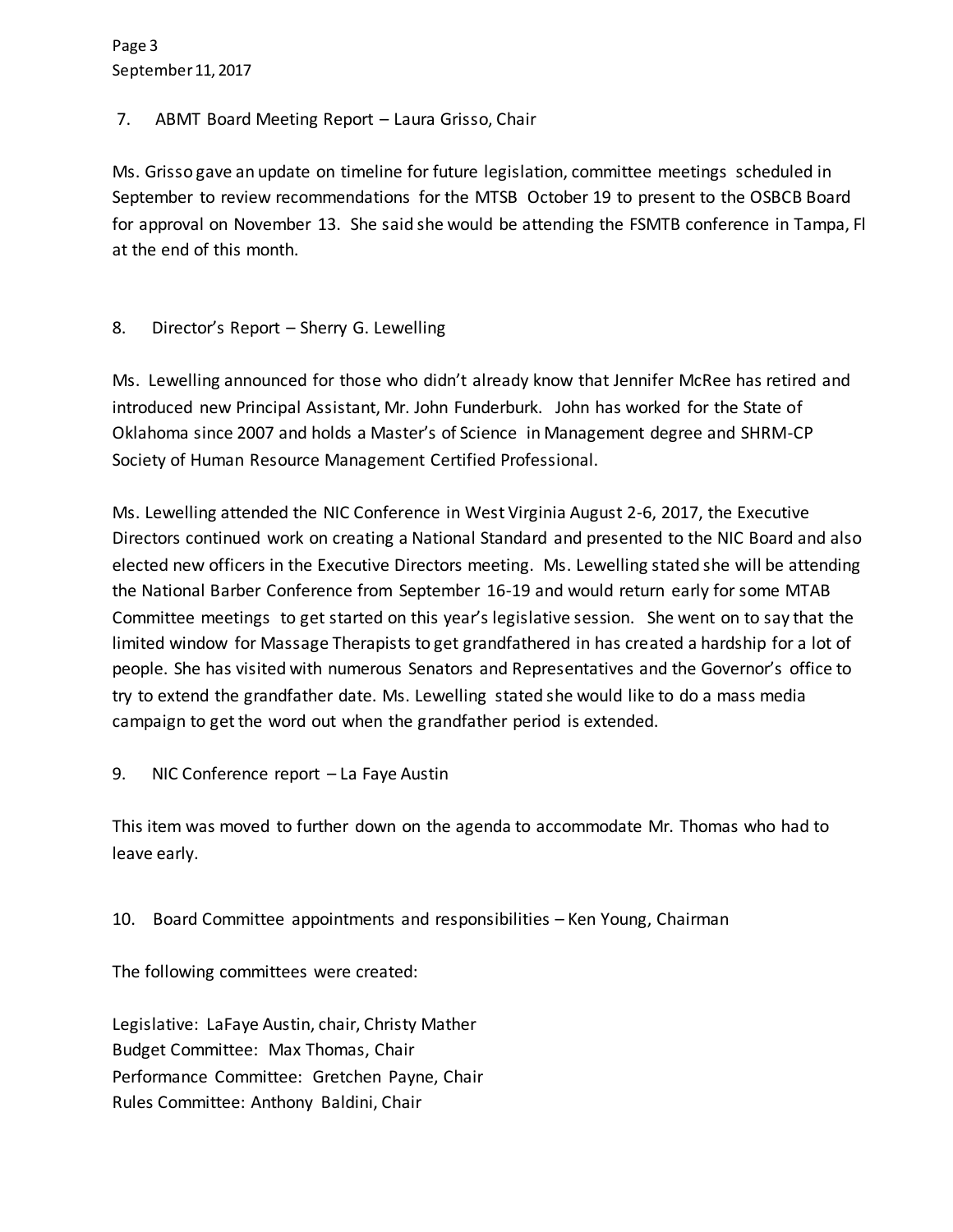Page 3 September 11, 2017

# 7. ABMT Board Meeting Report – Laura Grisso, Chair

Ms. Grisso gave an update on timeline for future legislation, committee meetings scheduled in September to review recommendations for the MTSB October 19 to present to the OSBCB Board for approval on November 13. She said she would be attending the FSMTB conference in Tampa, Fl at the end of this month.

## 8. Director's Report – Sherry G. Lewelling

Ms. Lewelling announced for those who didn't already know that Jennifer McRee has retired and introduced new Principal Assistant, Mr. John Funderburk. John has worked for the State of Oklahoma since 2007 and holds a Master's of Science in Management degree and SHRM-CP Society of Human Resource Management Certified Professional.

Ms. Lewelling attended the NIC Conference in West Virginia August 2-6, 2017, the Executive Directors continued work on creating a National Standard and presented to the NIC Board and also elected new officers in the Executive Directors meeting. Ms. Lewelling stated she will be attending the National Barber Conference from September 16-19 and would return early for some MTAB Committee meetings to get started on this year's legislative session. She went on to say that the limited window for Massage Therapists to get grandfathered in has created a hardship for a lot of people. She has visited with numerous Senators and Representatives and the Governor's office to try to extend the grandfather date. Ms. Lewelling stated she would like to do a mass media campaign to get the word out when the grandfather period is extended.

# 9. NIC Conference report – La Faye Austin

This item was moved to further down on the agenda to accommodate Mr. Thomas who had to leave early.

# 10. Board Committee appointments and responsibilities – Ken Young, Chairman

The following committees were created:

Legislative: LaFaye Austin, chair, Christy Mather Budget Committee: Max Thomas, Chair Performance Committee: Gretchen Payne, Chair Rules Committee: Anthony Baldini, Chair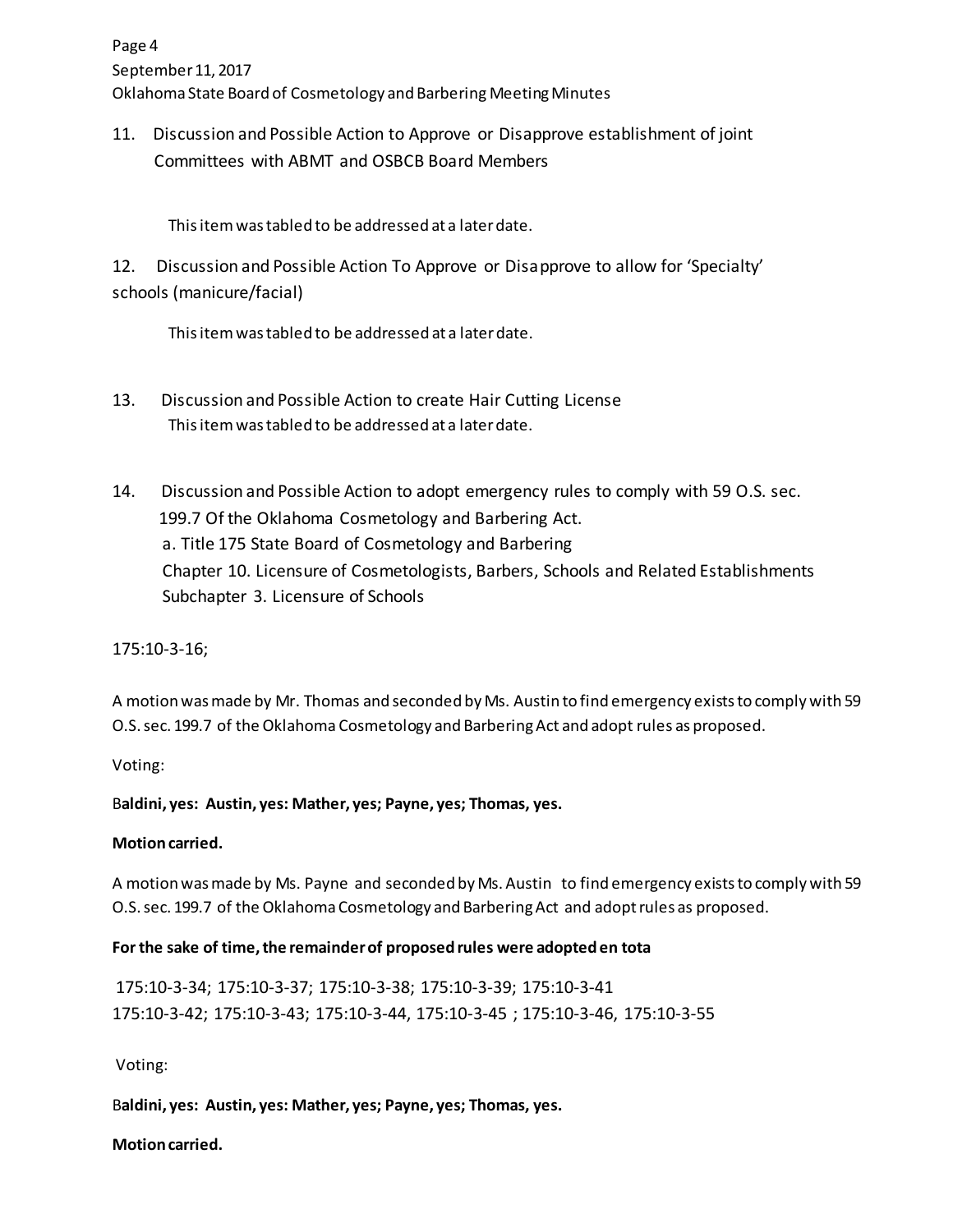11. Discussion and Possible Action to Approve or Disapprove establishment of joint Committees with ABMT and OSBCB Board Members

This item was tabled to be addressed at a later date.

12. Discussion and Possible Action To Approve or Disapprove to allow for 'Specialty' schools (manicure/facial)

This item was tabled to be addressed at a later date.

- 13. Discussion and Possible Action to create Hair Cutting License This item was tabled to be addressed at a later date.
- 14. Discussion and Possible Action to adopt emergency rules to comply with 59 O.S. sec. 199.7 Of the Oklahoma Cosmetology and Barbering Act. a. Title 175 State Board of Cosmetology and Barbering Chapter 10. Licensure of Cosmetologists, Barbers, Schools and Related Establishments Subchapter 3. Licensure of Schools

175:10-3-16;

A motion was made by Mr. Thomas and seconded by Ms. Austin to find emergency exists to comply with 59 O.S. sec. 199.7 of the Oklahoma Cosmetology and Barbering Act and adopt rules as proposed.

Voting:

B**aldini, yes: Austin, yes: Mather, yes; Payne, yes; Thomas, yes.** 

# **Motion carried.**

A motion was made by Ms. Payne and seconded by Ms. Austin to find emergency exists to comply with 59 O.S. sec. 199.7 of the Oklahoma Cosmetology and Barbering Act and adopt rules as proposed.

# **For the sake of time, the remainder of proposed rules were adopted en tota**

175:10-3-34; 175:10-3-37; 175:10-3-38; 175:10-3-39; 175:10-3-41 175:10-3-42; 175:10-3-43; 175:10-3-44, 175:10-3-45 ; 175:10-3-46, 175:10-3-55

Voting:

B**aldini, yes: Austin, yes: Mather, yes; Payne, yes; Thomas, yes.** 

**Motion carried.**